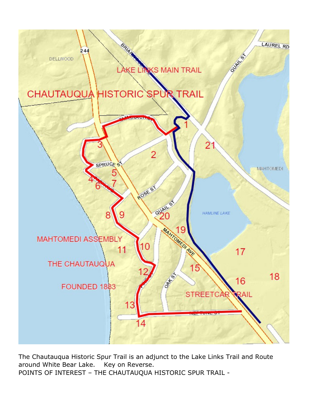

The Chautauqua Historic Spur Trail is an adjunct to the Lake Links Trail and Route around White Bear Lake. Key on Reverse. POINTS OF INTEREST – THE CHAUTAUQUA HISTORIC SPUR TRAIL -